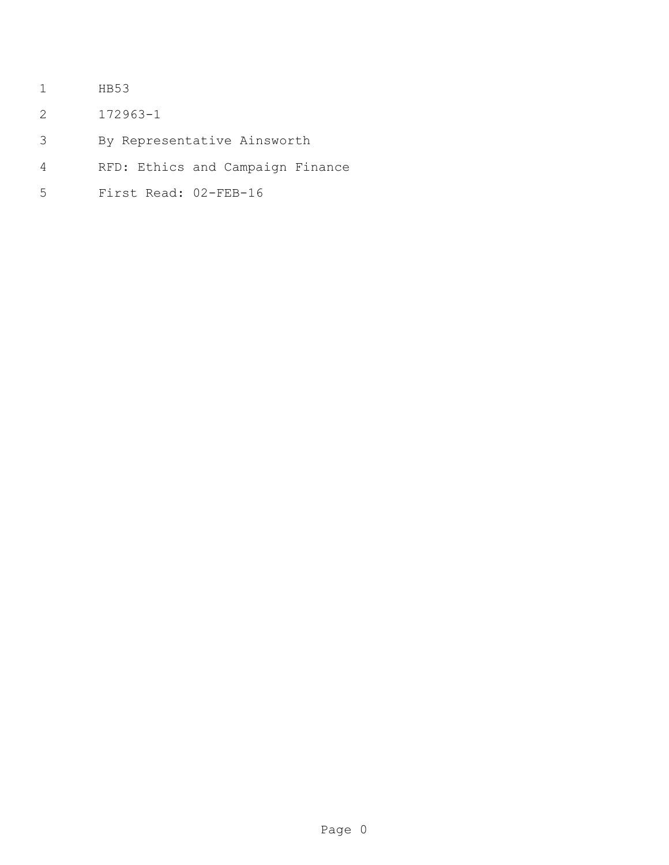- HB53
- 172963-1
- By Representative Ainsworth
- RFD: Ethics and Campaign Finance
- First Read: 02-FEB-16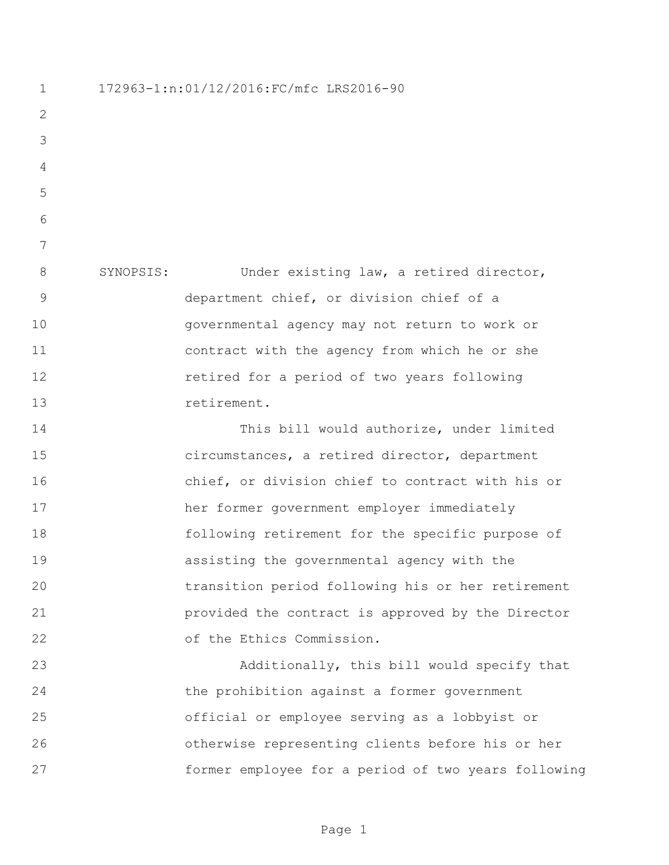172963-1:n:01/12/2016:FC/mfc LRS2016-90 SYNOPSIS: Under existing law, a retired director, department chief, or division chief of a governmental agency may not return to work or contract with the agency from which he or she retired for a period of two years following 13 retirement. This bill would authorize, under limited circumstances, a retired director, department chief, or division chief to contract with his or her former government employer immediately following retirement for the specific purpose of assisting the governmental agency with the transition period following his or her retirement provided the contract is approved by the Director of the Ethics Commission. Additionally, this bill would specify that the prohibition against a former government official or employee serving as a lobbyist or otherwise representing clients before his or her former employee for a period of two years following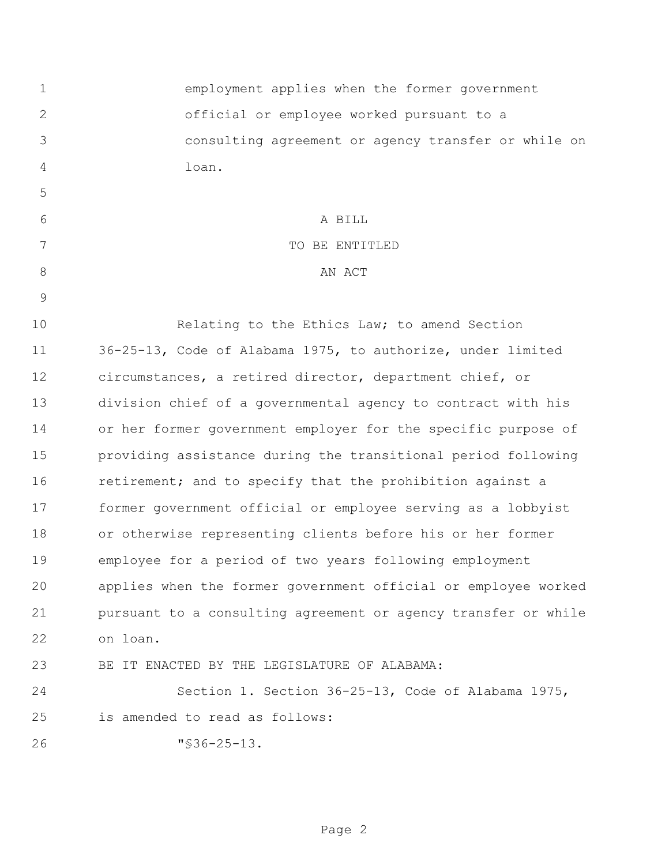| 1             | employment applies when the former government                  |
|---------------|----------------------------------------------------------------|
| 2             | official or employee worked pursuant to a                      |
| 3             | consulting agreement or agency transfer or while on            |
| 4             | loan.                                                          |
| 5             |                                                                |
| 6             | A BILL                                                         |
| 7             | TO BE ENTITLED                                                 |
| 8             | AN ACT                                                         |
| $\mathcal{G}$ |                                                                |
| 10            | Relating to the Ethics Law; to amend Section                   |
| 11            | 36-25-13, Code of Alabama 1975, to authorize, under limited    |
| 12            | circumstances, a retired director, department chief, or        |
| 13            | division chief of a governmental agency to contract with his   |
| 14            | or her former government employer for the specific purpose of  |
| 15            | providing assistance during the transitional period following  |
| 16            | retirement; and to specify that the prohibition against a      |
| 17            | former government official or employee serving as a lobbyist   |
| 18            | or otherwise representing clients before his or her former     |
| 19            | employee for a period of two years following employment        |
| 20            | applies when the former government official or employee worked |
| 21            | pursuant to a consulting agreement or agency transfer or while |
| 22            | on loan.                                                       |
| 23            | BE IT ENACTED BY THE LEGISLATURE OF ALABAMA:                   |
| 24            | Section 1. Section 36-25-13, Code of Alabama 1975,             |
| 25            | is amended to read as follows:                                 |
| 26            | $"$ \$36-25-13.                                                |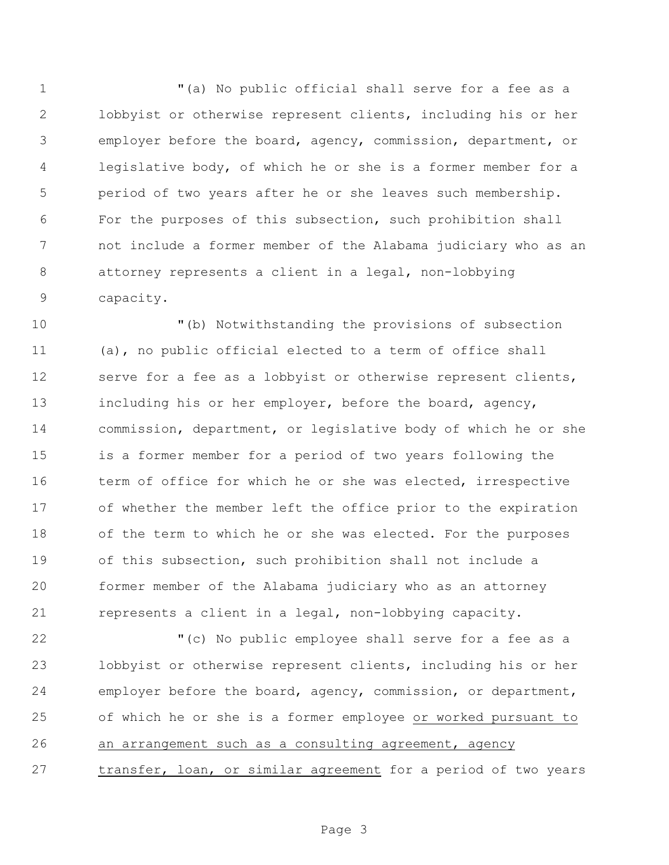"(a) No public official shall serve for a fee as a lobbyist or otherwise represent clients, including his or her employer before the board, agency, commission, department, or legislative body, of which he or she is a former member for a period of two years after he or she leaves such membership. For the purposes of this subsection, such prohibition shall not include a former member of the Alabama judiciary who as an attorney represents a client in a legal, non-lobbying capacity.

 "(b) Notwithstanding the provisions of subsection (a), no public official elected to a term of office shall serve for a fee as a lobbyist or otherwise represent clients, including his or her employer, before the board, agency, commission, department, or legislative body of which he or she is a former member for a period of two years following the 16 term of office for which he or she was elected, irrespective of whether the member left the office prior to the expiration of the term to which he or she was elected. For the purposes of this subsection, such prohibition shall not include a former member of the Alabama judiciary who as an attorney represents a client in a legal, non-lobbying capacity.

 "(c) No public employee shall serve for a fee as a lobbyist or otherwise represent clients, including his or her employer before the board, agency, commission, or department, of which he or she is a former employee or worked pursuant to an arrangement such as a consulting agreement, agency transfer, loan, or similar agreement for a period of two years

Page 3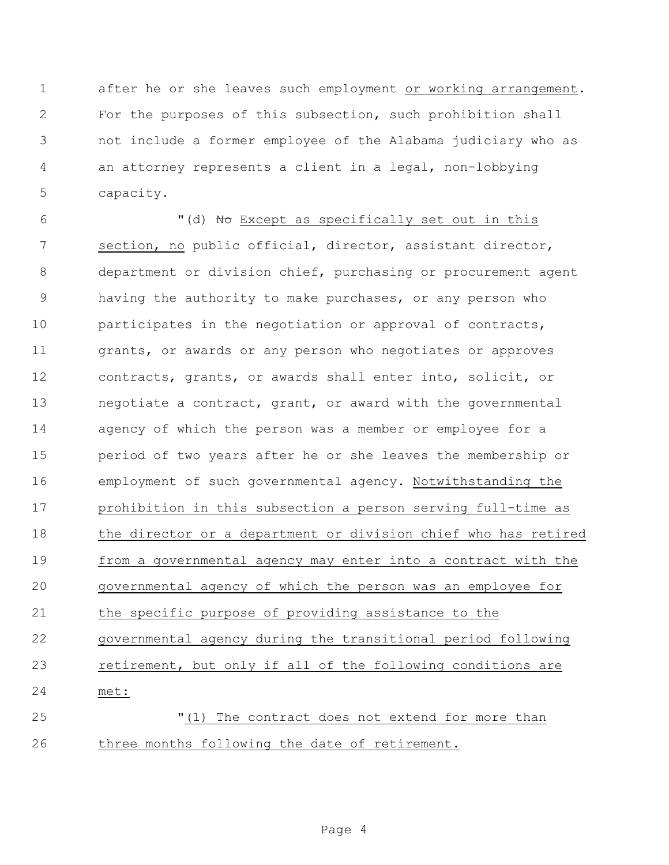after he or she leaves such employment or working arrangement. For the purposes of this subsection, such prohibition shall not include a former employee of the Alabama judiciary who as an attorney represents a client in a legal, non-lobbying capacity.

6 "(d) No Except as specifically set out in this section, no public official, director, assistant director, department or division chief, purchasing or procurement agent having the authority to make purchases, or any person who participates in the negotiation or approval of contracts, 11 grants, or awards or any person who negotiates or approves contracts, grants, or awards shall enter into, solicit, or negotiate a contract, grant, or award with the governmental agency of which the person was a member or employee for a period of two years after he or she leaves the membership or employment of such governmental agency. Notwithstanding the prohibition in this subsection a person serving full-time as the director or a department or division chief who has retired from a governmental agency may enter into a contract with the governmental agency of which the person was an employee for the specific purpose of providing assistance to the governmental agency during the transitional period following retirement, but only if all of the following conditions are met: "(1) The contract does not extend for more than

three months following the date of retirement.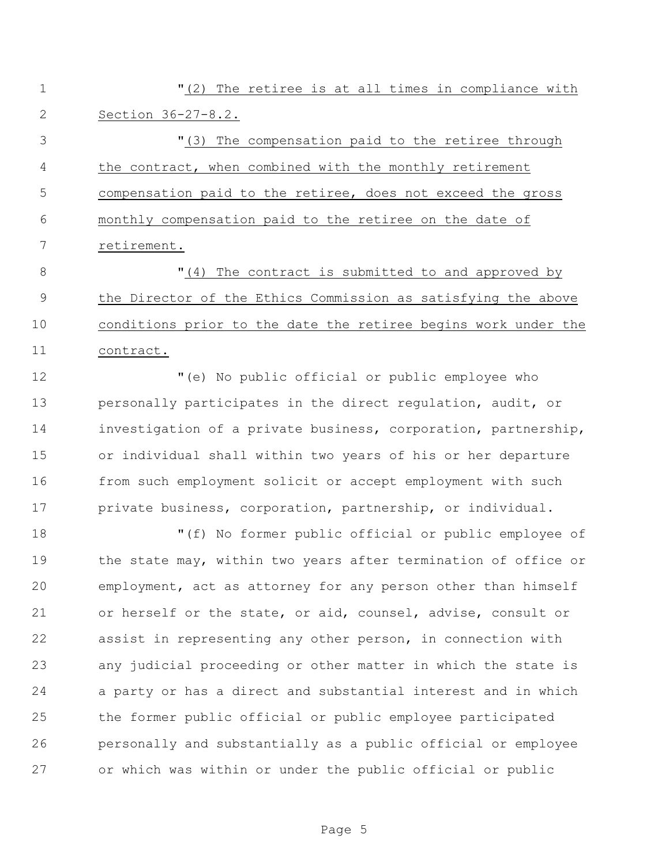"(2) The retiree is at all times in compliance with Section 36-27-8.2.

 "(3) The compensation paid to the retiree through the contract, when combined with the monthly retirement compensation paid to the retiree, does not exceed the gross monthly compensation paid to the retiree on the date of retirement.

 $\blacksquare$  (4) The contract is submitted to and approved by the Director of the Ethics Commission as satisfying the above conditions prior to the date the retiree begins work under the contract.

 "(e) No public official or public employee who personally participates in the direct regulation, audit, or investigation of a private business, corporation, partnership, or individual shall within two years of his or her departure from such employment solicit or accept employment with such private business, corporation, partnership, or individual.

 "(f) No former public official or public employee of 19 the state may, within two years after termination of office or employment, act as attorney for any person other than himself or herself or the state, or aid, counsel, advise, consult or assist in representing any other person, in connection with any judicial proceeding or other matter in which the state is a party or has a direct and substantial interest and in which the former public official or public employee participated personally and substantially as a public official or employee or which was within or under the public official or public

Page 5